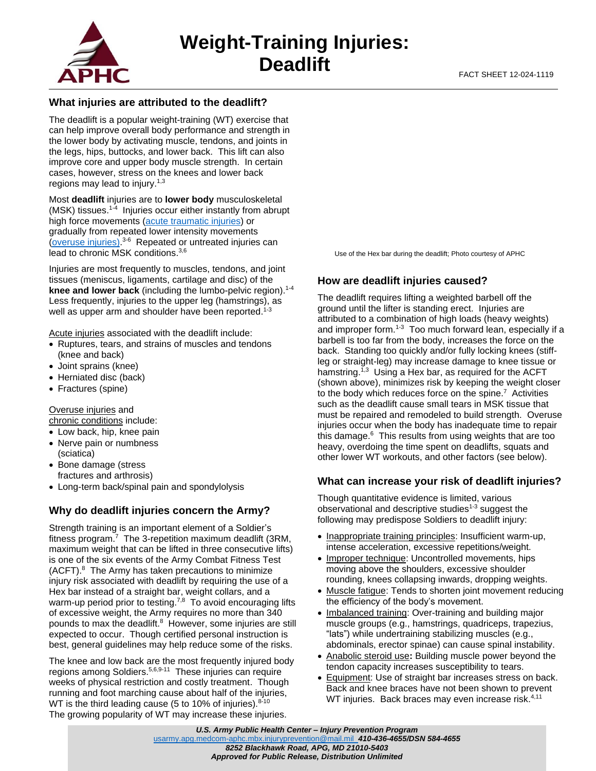

# **What injuries are attributed to the deadlift?**

The deadlift is a popular weight-training (WT) exercise that can help improve overall body performance and strength in the lower body by activating muscle, tendons, and joints in the legs, hips, buttocks, and lower back. This lift can also improve core and upper body muscle strength. In certain cases, however, stress on the knees and lower back regions may lead to injury.1,3

Most **deadlift** injuries are to **lower body** musculoskeletal (MSK) tissues. $1-4$  Injuries occur either instantly from abrupt high force movements [\(acute traumatic injuries\)](https://phc.amedd.army.mil/PHC%20Resource%20Library/MSKInjuries_FS_12-011-0417.pdf) or gradually from repeated lower intensity movements [\(overuse injuries\)](https://phc.amedd.army.mil/PHC%20Resource%20Library/MSKInjuries_FS_12-011-0417.pdf). 3-6 Repeated or untreated injuries can lead to chronic MSK conditions.3,6

Injuries are most frequently to muscles, tendons, and joint tissues (meniscus, ligaments, cartilage and disc) of the **knee and lower back** (including the lumbo-pelvic region).1-4 Less frequently, injuries to the upper leg (hamstrings), as well as upper arm and shoulder have been reported.<sup>1-3</sup>

Acute injuries associated with the deadlift include:

- Ruptures, tears, and strains of muscles and tendons (knee and back)
- Joint sprains (knee)
- Herniated disc (back)
- Fractures (spine)

Overuse injuries and

chronic conditions include:

- Low back, hip, knee pain
- Nerve pain or numbness (sciatica)
- Bone damage (stress fractures and arthrosis)
- Long-term back/spinal pain and spondylolysis

# **Why do deadlift injuries concern the Army?**

Strength training is an important element of a Soldier's fitness program.<sup>7</sup> The 3-repetition maximum deadlift (3RM, maximum weight that can be lifted in three consecutive lifts) is one of the six events of the Army Combat Fitness Test (ACFT).<sup>8</sup> The Army has taken precautions to minimize injury risk associated with deadlift by requiring the use of a Hex bar instead of a straight bar, weight collars, and a warm-up period prior to testing.<sup>7,8</sup> To avoid encouraging lifts of excessive weight, the Army requires no more than 340 pounds to max the deadlift.<sup>8</sup> However, some injuries are still expected to occur. Though certified personal instruction is best, general guidelines may help reduce some of the risks.

The knee and low back are the most frequently injured body regions among Soldiers.5,6,9-11 These injuries can require weeks of physical restriction and costly treatment. Though running and foot marching cause about half of the injuries, WT is the third leading cause (5 to 10% of injuries). $8-10$ The growing popularity of WT may increase these injuries.

Use of the Hex bar during the deadlift; Photo courtesy of APHC

# **How are deadlift injuries caused?**

The deadlift requires lifting a weighted barbell off the ground until the lifter is standing erect. Injuries are attributed to a combination of high loads (heavy weights) and improper form.<sup>1-3</sup> Too much forward lean, especially if a barbell is too far from the body, increases the force on the back. Standing too quickly and/or fully locking knees (stiffleg or straight-leg) may increase damage to knee tissue or hamstring.<sup>1,3</sup> Using a Hex bar, as required for the ACFT (shown above), minimizes risk by keeping the weight closer to the body which reduces force on the spine.<sup>7</sup> Activities such as the deadlift cause small tears in MSK tissue that must be repaired and remodeled to build strength. Overuse injuries occur when the body has inadequate time to repair this damage.<sup>6</sup> This results from using weights that are too heavy, overdoing the time spent on deadlifts, squats and other lower WT workouts, and other factors (see below).

### **What can increase your risk of deadlift injuries?**

Though quantitative evidence is limited, various observational and descriptive studies<sup>1-3</sup> suggest the following may predispose Soldiers to deadlift injury:

- Inappropriate training principles: Insufficient warm-up, intense acceleration, excessive repetitions/weight.
- Improper technique: Uncontrolled movements, hips moving above the shoulders, excessive shoulder rounding, knees collapsing inwards, dropping weights.
- Muscle fatigue: Tends to shorten joint movement reducing the efficiency of the body's movement.
- Imbalanced training: Over-training and building major muscle groups (e.g., hamstrings, quadriceps, trapezius, "lats") while undertraining stabilizing muscles (e.g., abdominals, erector spinae) can cause spinal instability.
- Anabolic steroid use**:** Building muscle power beyond the tendon capacity increases susceptibility to tears.
- Equipment: Use of straight bar increases stress on back. Back and knee braces have not been shown to prevent WT injuries. Back braces may even increase risk.<sup>4,11</sup>

*U.S. Army Public Health Center – Injury Prevention Program* [usarmy.apg.medcom-aphc.mbx.injuryprevention@mail.mil](mailto:usarmy.apg.medcom-aphc.mbx.injuryprevention@mail.mil) *410-436-4655/DSN 584-4655 8252 Blackhawk Road, APG, MD 21010-5403 Approved for Public Release, Distribution Unlimited*